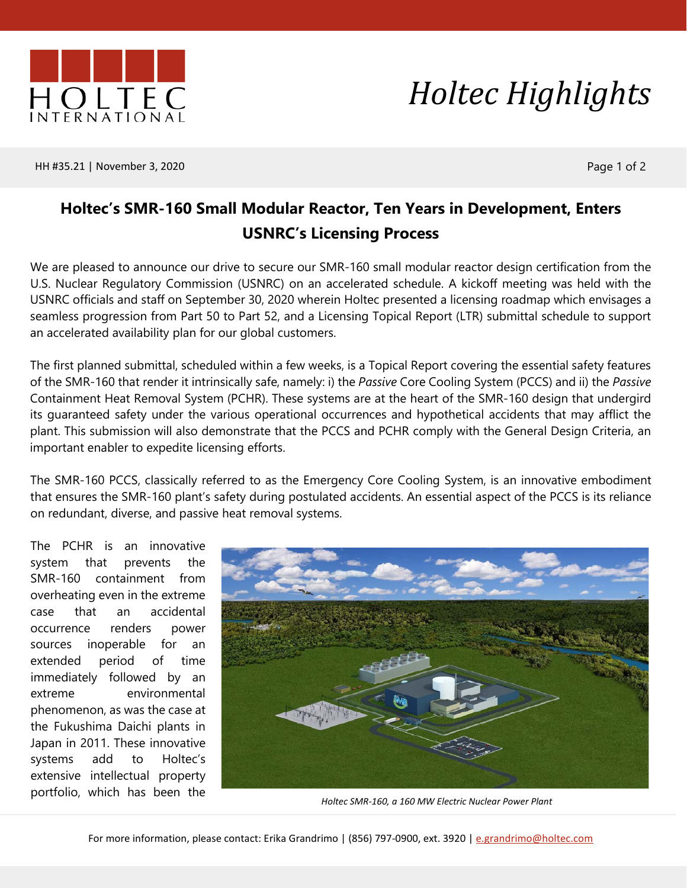



HH #35.21 | November 3, 2020 **Page 1 of 2** 

## **Holtec's SMR-160 Small Modular Reactor, Ten Years in Development, Enters USNRC's Licensing Process**

We are pleased to announce our drive to secure our SMR-160 small modular reactor design certification from the U.S. Nuclear Regulatory Commission (USNRC) on an accelerated schedule. A kickoff meeting was held with the USNRC officials and staff on September 30, 2020 wherein Holtec presented a licensing roadmap which envisages a seamless progression from Part 50 to Part 52, and a Licensing Topical Report (LTR) submittal schedule to support an accelerated availability plan for our global customers.

The first planned submittal, scheduled within a few weeks, is a Topical Report covering the essential safety features of the SMR-160 that render it intrinsically safe, namely: i) the *Passive* Core Cooling System (PCCS) and ii) the *Passive* Containment Heat Removal System (PCHR). These systems are at the heart of the SMR-160 design that undergird its guaranteed safety under the various operational occurrences and hypothetical accidents that may afflict the plant. This submission will also demonstrate that the PCCS and PCHR comply with the General Design Criteria, an important enabler to expedite licensing efforts.

The SMR-160 PCCS, classically referred to as the Emergency Core Cooling System, is an innovative embodiment that ensures the SMR-160 plant's safety during postulated accidents. An essential aspect of the PCCS is its reliance on redundant, diverse, and passive heat removal systems.

The PCHR is an innovative system that prevents the SMR-160 containment from overheating even in the extreme case that an accidental occurrence renders power sources inoperable for an extended period of time immediately followed by an extreme environmental phenomenon, as was the case at the Fukushima Daichi plants in Japan in 2011. These innovative systems add to Holtec's extensive intellectual property portfolio, which has been the



*Holtec SMR-160, a 160 MW Electric Nuclear Power Plant*